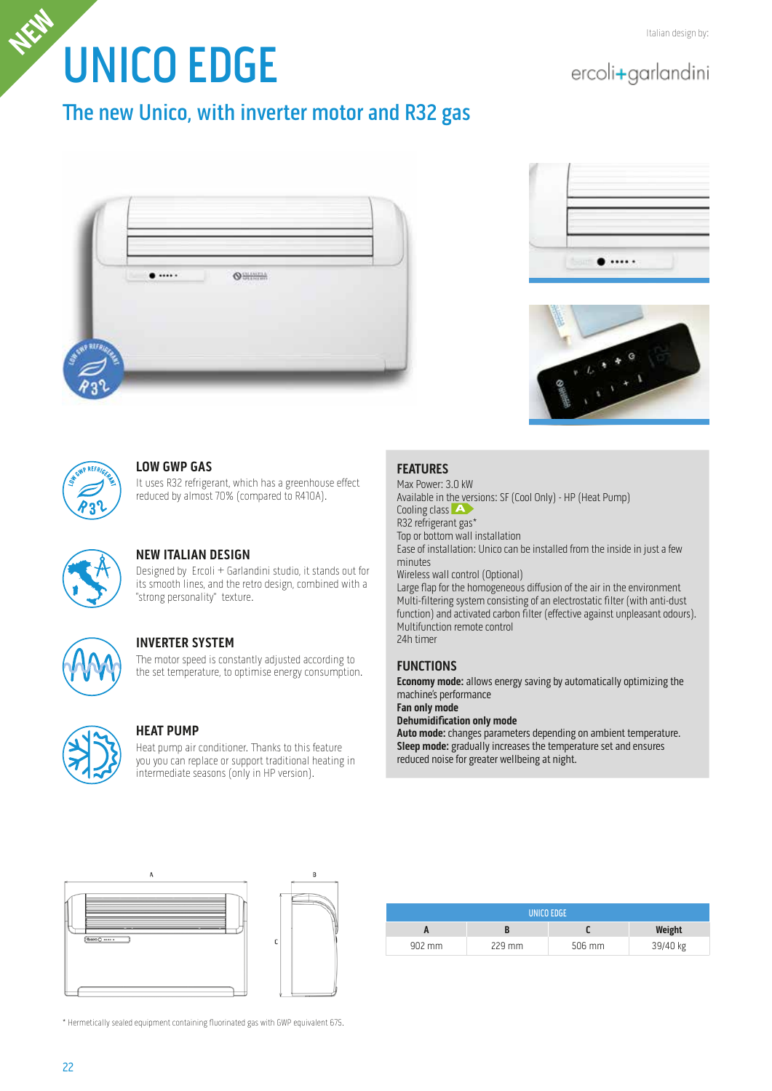# UNICO EDGE **Italian design by: Italian design by: Italian design by:**

# ercoli+garlandini

# The new Unico, with inverter motor and R32 gas









#### **LOW GWP GAS**

It uses R32 refrigerant, which has a greenhouse effect reduced by almost 70% (compared to R410A).



# **NEW ITALIAN DESIGN**

Designed by Ercoli + Garlandini studio, it stands out for its smooth lines, and the retro design, combined with a "strong personality" texture.



## **INVERTER SYSTEM**

The motor speed is constantly adjusted according to the set temperature, to optimise energy consumption.



#### **HEAT PUMP**

Heat pump air conditioner. Thanks to this feature you you can replace or support traditional heating in intermediate seasons (only in HP version).

## **FEATURES**

Max Power: 3.0 kW Available in the versions: SF (Cool Only) - HP (Heat Pump) Cooling class **A** R32 refrigerant gas\* Top or bottom wall installation Ease of installation: Unico can be installed from the inside in just a few minutes Wireless wall control (Optional) Large flap for the homogeneous diffusion of the air in the environment Multi-filtering system consisting of an electrostatic filter (with anti-dust function) and activated carbon filter (effective against unpleasant odours). Multifunction remote control

24h timer

## **FUNCTIONS**

**Economy mode:** allows energy saving by automatically optimizing the machine's performance

**Fan only mode Dehumidification only mode**

**Auto mode:** changes parameters depending on ambient temperature. **Sleep mode:** gradually increases the temperature set and ensures reduced noise for greater wellbeing at night.





| UNICO EDGE         |          |        |          |  |  |  |
|--------------------|----------|--------|----------|--|--|--|
|                    |          |        | Weight   |  |  |  |
| $902 \, \text{mm}$ | $229$ mm | 506 mm | 39/40 kg |  |  |  |

\* Hermetically sealed equipment containing fluorinated gas with GWP equivalent 675.